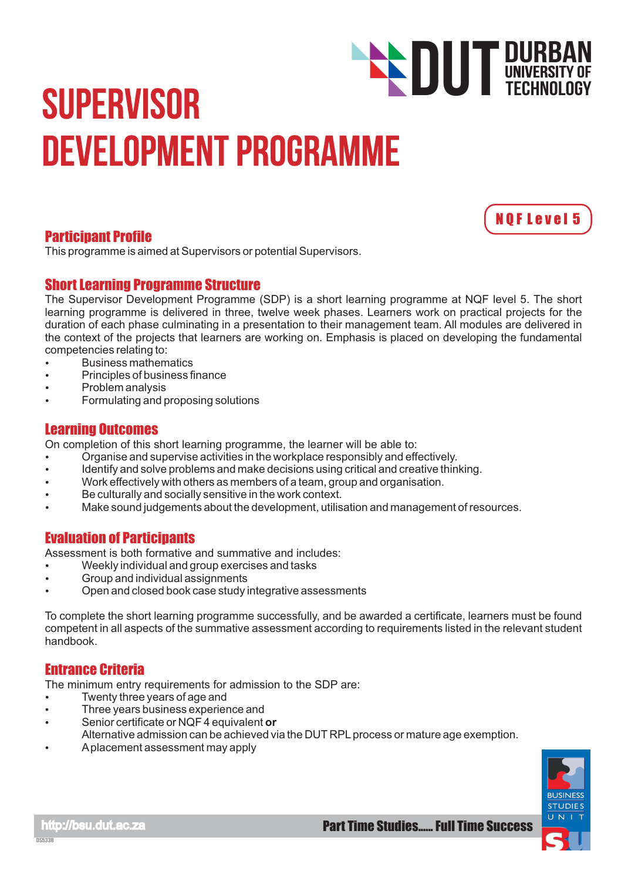# **SUPERVISOR** Development Programme **DUT DURBAN**<br>TECHNOLOGY

# Participant Profile

This programme is aimed at Supervisors or potential Supervisors.

# Short Learning Programme Structure

The Supervisor Development Programme (SDP) is a short learning programme at NQF level 5. The short learning programme is delivered in three, twelve week phases. Learners work on practical projects for the duration of each phase culminating in a presentation to their management team. All modules are delivered in the context of the projects that learners are working on. Emphasis is placed on developing the fundamental competencies relating to:

- Business mathematics  $\bullet$
- Principles of business finance  $\bullet$
- Problem analysis
- Formulating and proposing solutions

# Learning Outcomes

On completion of this short learning programme, the learner will be able to:

- Organise and supervise activities in the workplace responsibly and effectively.  $\bullet$
- Identify and solve problems and make decisions using critical and creative thinking.
- Work effectively with others as members of a team, group and organisation.
- Be culturally and socially sensitive in the work context.
- Make sound judgements about the development, utilisation and management of resources.

# Evaluation of Participants

Assessment is both formative and summative and includes:

- Weekly individual and group exercises and tasks
- Group and individual assignments
- Open and closed book case study integrative assessments

To complete the short learning programme successfully, and be awarded a certificate, learners must be found competent in all aspects of the summative assessment according to requirements listed in the relevant student handbook.

# Entrance Criteria

The minimum entry requirements for admission to the SDP are:

- Twenty three years of age and
- **•** Three years business experience and
- Senior certificate or NQF 4 equivalent or
- Alternative admission can be achieved via the DUT RPL process or mature age exemption.
- A placement assessment may apply



N Q F L e v e l 5

TECHNOLOGY